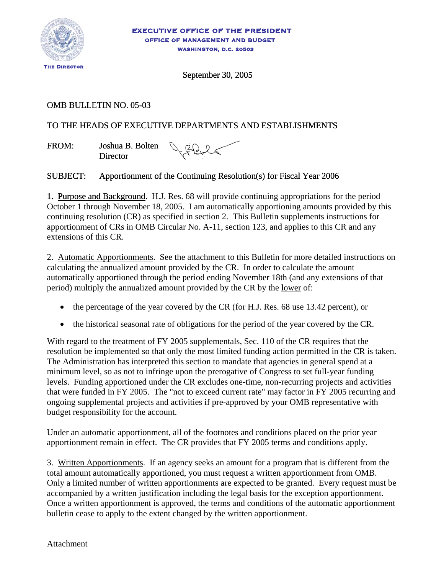

September 30, 2005

# OMB BULLETIN NO. 05-03

# TO THE HEADS OF EXECUTIVE DEPARTMENTS AND ESTABLISHMENTS

FROM: Joshua B. Bolten **Director** 

JABILT

## SUBJECT: Apportionment of the Continuing Resolution(s) for Fiscal Year 2006

1. Purpose and Background. H.J. Res. 68 will provide continuing appropriations for the period October 1 through November 18, 2005. I am automatically apportioning amounts provided by this continuing resolution (CR) as specified in section 2. This Bulletin supplements instructions for apportionment of CRs in OMB Circular No. A-11, section 123, and applies to this CR and any extensions of this CR.

2. Automatic Apportionments. See the attachment to this Bulletin for more detailed instructions on calculating the annualized amount provided by the CR. In order to calculate the amount automatically apportioned through the period ending November 18th (and any extensions of that period) multiply the annualized amount provided by the CR by the lower of:

- the percentage of the year covered by the CR (for H.J. Res. 68 use 13.42 percent), or
- the historical seasonal rate of obligations for the period of the year covered by the CR.

With regard to the treatment of FY 2005 supplementals, Sec. 110 of the CR requires that the resolution be implemented so that only the most limited funding action permitted in the CR is taken. The Administration has interpreted this section to mandate that agencies in general spend at a minimum level, so as not to infringe upon the prerogative of Congress to set full-year funding levels. Funding apportioned under the CR excludes one-time, non-recurring projects and activities that were funded in FY 2005. The "not to exceed current rate" may factor in FY 2005 recurring and ongoing supplemental projects and activities if pre-approved by your OMB representative with budget responsibility for the account.

Under an automatic apportionment, all of the footnotes and conditions placed on the prior year apportionment remain in effect. The CR provides that FY 2005 terms and conditions apply.

3. Written Apportionments. If an agency seeks an amount for a program that is different from the total amount automatically apportioned, you must request a written apportionment from OMB. Only a limited number of written apportionments are expected to be granted. Every request must be accompanied by a written justification including the legal basis for the exception apportionment. Once a written apportionment is approved, the terms and conditions of the automatic apportionment bulletin cease to apply to the extent changed by the written apportionment.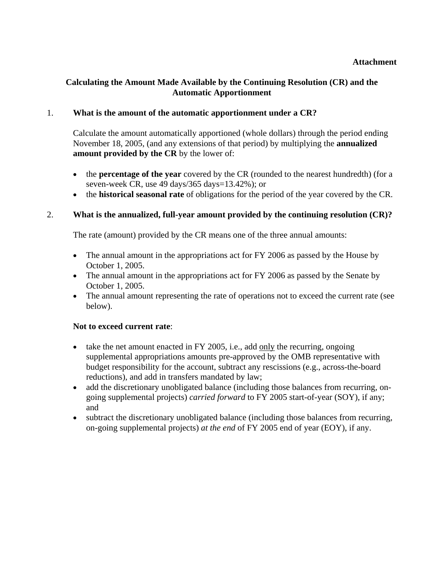### **Attachment**

### **Calculating the Amount Made Available by the Continuing Resolution (CR) and the Automatic Apportionment**

### 1. **What is the amount of the automatic apportionment under a CR?**

Calculate the amount automatically apportioned (whole dollars) through the period ending November 18, 2005, (and any extensions of that period) by multiplying the **annualized amount provided by the CR** by the lower of:

- the **percentage of the year** covered by the CR (rounded to the nearest hundredth) (for a seven-week CR, use 49 days/365 days=13.42%); or
- the **historical seasonal rate** of obligations for the period of the year covered by the CR.

#### 2. **What is the annualized, full-year amount provided by the continuing resolution (CR)?**

The rate (amount) provided by the CR means one of the three annual amounts:

- The annual amount in the appropriations act for FY 2006 as passed by the House by October 1, 2005.
- The annual amount in the appropriations act for FY 2006 as passed by the Senate by October 1, 2005.
- The annual amount representing the rate of operations not to exceed the current rate (see below).

#### **Not to exceed current rate**:

- take the net amount enacted in FY 2005, i.e., add only the recurring, ongoing supplemental appropriations amounts pre-approved by the OMB representative with budget responsibility for the account, subtract any rescissions (e.g., across-the-board reductions), and add in transfers mandated by law;
- add the discretionary unobligated balance (including those balances from recurring, ongoing supplemental projects) *carried forward* to FY 2005 start-of-year (SOY), if any; and
- subtract the discretionary unobligated balance (including those balances from recurring, on-going supplemental projects) *at the end* of FY 2005 end of year (EOY), if any.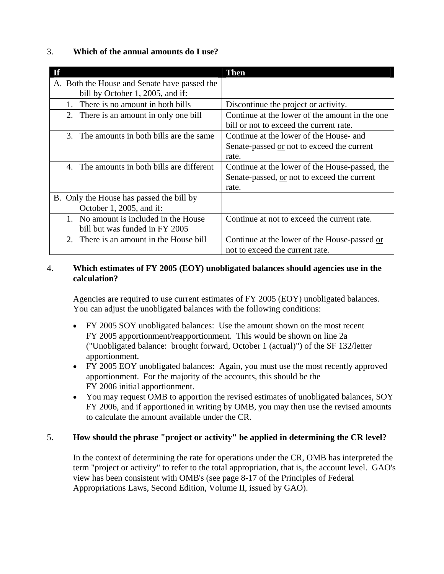## 3. **Which of the annual amounts do I use?**

| Tf                                           | <b>Then</b>                                    |
|----------------------------------------------|------------------------------------------------|
| A. Both the House and Senate have passed the |                                                |
| bill by October 1, 2005, and if:             |                                                |
| There is no amount in both bills<br>$1_{-}$  | Discontinue the project or activity.           |
| 2. There is an amount in only one bill       | Continue at the lower of the amount in the one |
|                                              | bill or not to exceed the current rate.        |
| 3. The amounts in both bills are the same    | Continue at the lower of the House- and        |
|                                              | Senate-passed or not to exceed the current     |
|                                              | rate.                                          |
| 4. The amounts in both bills are different   | Continue at the lower of the House-passed, the |
|                                              | Senate-passed, or not to exceed the current    |
|                                              | rate.                                          |
| B. Only the House has passed the bill by     |                                                |
| October 1, 2005, and if:                     |                                                |
| 1. No amount is included in the House        | Continue at not to exceed the current rate.    |
| bill but was funded in FY 2005               |                                                |
| 2. There is an amount in the House bill      | Continue at the lower of the House-passed or   |
|                                              | not to exceed the current rate.                |

### 4. **Which estimates of FY 2005 (EOY) unobligated balances should agencies use in the calculation?**

 Agencies are required to use current estimates of FY 2005 (EOY) unobligated balances. You can adjust the unobligated balances with the following conditions:

- FY 2005 SOY unobligated balances: Use the amount shown on the most recent FY 2005 apportionment/reapportionment. This would be shown on line 2a ("Unobligated balance: brought forward, October 1 (actual)") of the SF 132/letter apportionment.
- FY 2005 EOY unobligated balances: Again, you must use the most recently approved apportionment. For the majority of the accounts, this should be the FY 2006 initial apportionment.
- You may request OMB to apportion the revised estimates of unobligated balances, SOY FY 2006, and if apportioned in writing by OMB, you may then use the revised amounts to calculate the amount available under the CR.

## 5. **How should the phrase "project or activity" be applied in determining the CR level?**

In the context of determining the rate for operations under the CR, OMB has interpreted the term "project or activity" to refer to the total appropriation, that is, the account level. GAO's view has been consistent with OMB's (see page 8-17 of the Principles of Federal Appropriations Laws, Second Edition, Volume II, issued by GAO).